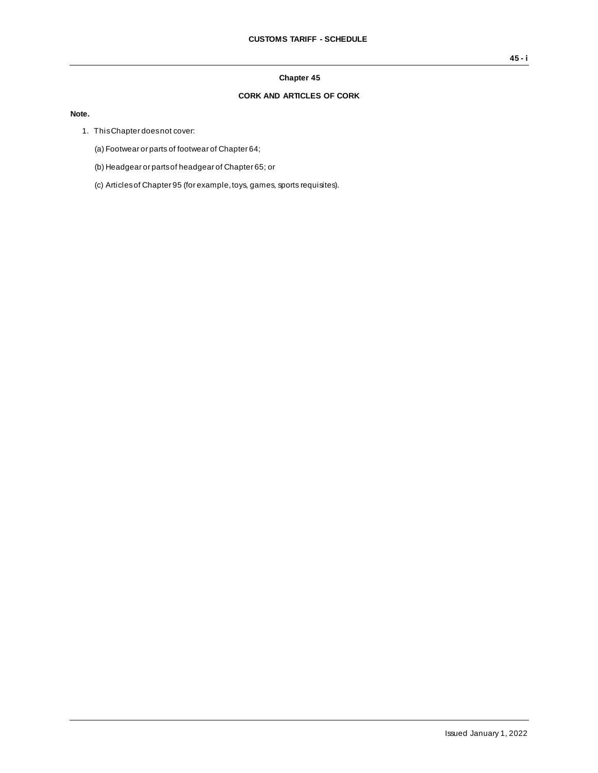## **Chapter 45**

## **CORK AND ARTICLES OF CORK**

## **Note.**

- 1. This Chapter does not cover:
	- (a) Footwear or parts of footwear of Chapter 64;
	- (b) Headgear or parts of headgear of Chapter 65; or
	- (c) Articles of Chapter 95 (for example, toys, games, sports requisites).